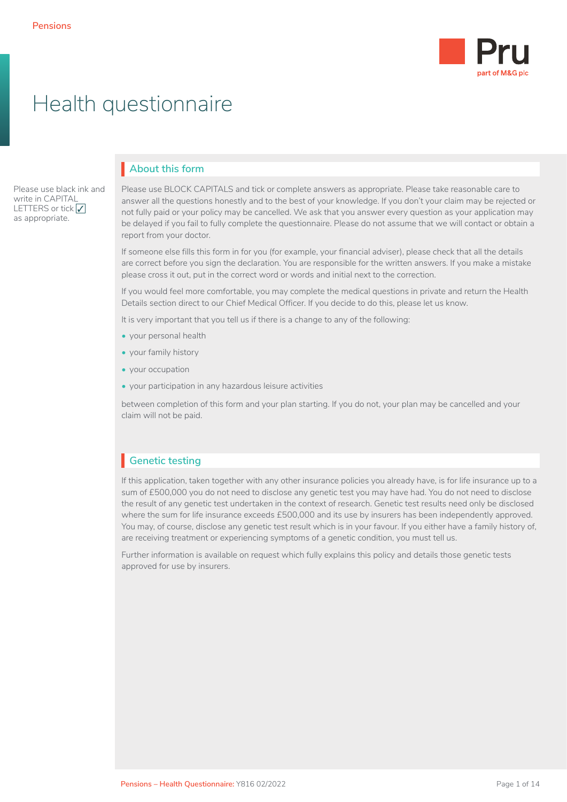

# Health questionnaire

Please use black ink and write in CAPITAL LETTERS or tick  $\sqrt{}$ as appropriate.

# **About this form** I

Please use BLOCK CAPITALS and tick or complete answers as appropriate. Please take reasonable care to answer all the questions honestly and to the best of your knowledge. If you don't your claim may be rejected or not fully paid or your policy may be cancelled. We ask that you answer every question as your application may be delayed if you fail to fully complete the questionnaire. Please do not assume that we will contact or obtain a report from your doctor.

If someone else fills this form in for you (for example, your financial adviser), please check that all the details are correct before you sign the declaration. You are responsible for the written answers. If you make a mistake please cross it out, put in the correct word or words and initial next to the correction.

If you would feel more comfortable, you may complete the medical questions in private and return the Health Details section direct to our Chief Medical Officer. If you decide to do this, please let us know.

It is very important that you tell us if there is a change to any of the following:

- your personal health
- your family history
- your occupation
- your participation in any hazardous leisure activities

between completion of this form and your plan starting. If you do not, your plan may be cancelled and your claim will not be paid.

# **Genetic testing** I

If this application, taken together with any other insurance policies you already have, is for life insurance up to a sum of £500,000 you do not need to disclose any genetic test you may have had. You do not need to disclose the result of any genetic test undertaken in the context of research. Genetic test results need only be disclosed where the sum for life insurance exceeds £500,000 and its use by insurers has been independently approved. You may, of course, disclose any genetic test result which is in your favour. If you either have a family history of, are receiving treatment or experiencing symptoms of a genetic condition, you must tell us.

Further information is available on request which fully explains this policy and details those genetic tests approved for use by insurers.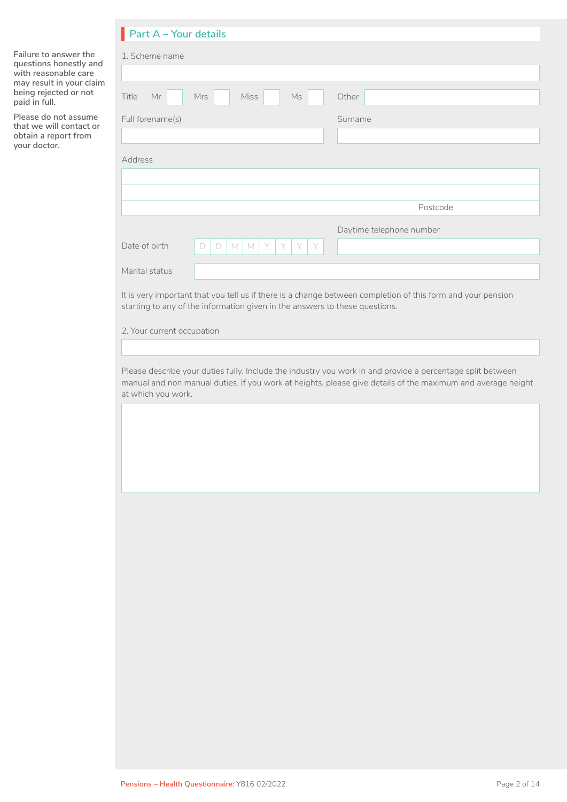# **Part A – Your details** I

**Failure to answer the questions honestly and with reasonable care may result in your claim being rejected or not paid in full.** 

**Please do not assume that we will contact or obtain a report from your doctor.**

| $1$ and $\sqrt{2}$ rounded values |                                                                    |                          |
|-----------------------------------|--------------------------------------------------------------------|--------------------------|
| 1. Scheme name                    |                                                                    |                          |
|                                   |                                                                    |                          |
| Title<br>Mr                       | <b>Miss</b><br>Mrs<br>Ms                                           | Other                    |
| Full forename(s)                  |                                                                    | Surname                  |
|                                   |                                                                    |                          |
| Address                           |                                                                    |                          |
|                                   |                                                                    |                          |
|                                   |                                                                    |                          |
|                                   |                                                                    | Postcode                 |
|                                   |                                                                    | Daytime telephone number |
| Date of birth                     | Y<br>$\mathbb M$<br>$\mathbb N$<br>Y<br>Y<br>$\Box$<br>$\Box$<br>Y |                          |
| Marital status                    |                                                                    |                          |
|                                   |                                                                    |                          |

It is very important that you tell us if there is a change between completion of this form and your pension starting to any of the information given in the answers to these questions.

2. Your current occupation

Please describe your duties fully. Include the industry you work in and provide a percentage split between manual and non manual duties. If you work at heights, please give details of the maximum and average height at which you work.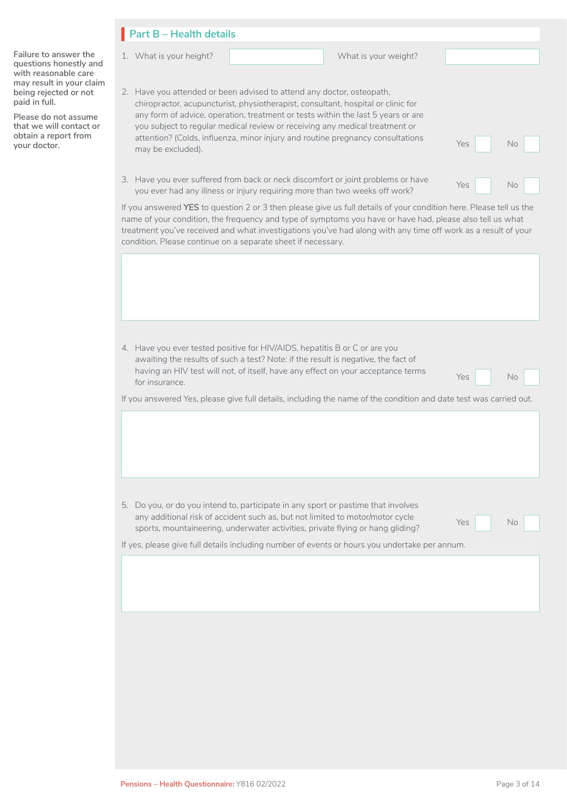|                                                                                                                                   | $\blacksquare$ Part B - Health details                                                                                                                                                                                                                                                                                                                                                                                                                         |
|-----------------------------------------------------------------------------------------------------------------------------------|----------------------------------------------------------------------------------------------------------------------------------------------------------------------------------------------------------------------------------------------------------------------------------------------------------------------------------------------------------------------------------------------------------------------------------------------------------------|
| Failure to answer the<br>questions honestly and<br>with reasonable care<br>may result in your claim                               | What is your weight?<br>1. What is your height?                                                                                                                                                                                                                                                                                                                                                                                                                |
| being rejected or not<br>paid in full.<br>Please do not assume<br>that we will contact or<br>obtain a report from<br>your doctor. | 2. Have you attended or been advised to attend any doctor, osteopath,<br>chiropractor, acupuncturist, physiotherapist, consultant, hospital or clinic for<br>any form of advice, operation, treatment or tests within the last 5 years or are<br>you subject to regular medical review or receiving any medical treatment or<br>attention? (Colds, influenza, minor injury and routine pregnancy consultations<br><b>Yes</b><br><b>No</b><br>may be excluded). |
|                                                                                                                                   | 3. Have you ever suffered from back or neck discomfort or joint problems or have<br>Yes<br>No.<br>you ever had any illness or injury requiring more than two weeks off work?                                                                                                                                                                                                                                                                                   |
|                                                                                                                                   | If you answered YES to question 2 or 3 then please give us full details of your condition here. Please tell us the<br>name of your condition, the frequency and type of symptoms you have or have had, please also tell us what<br>treatment you've received and what investigations you've had along with any time off work as a result of your<br>condition. Please continue on a separate sheet if necessary.                                               |
|                                                                                                                                   |                                                                                                                                                                                                                                                                                                                                                                                                                                                                |
|                                                                                                                                   | 4. Have you ever tested positive for HIV/AIDS, hepatitis B or C or are you<br>awaiting the results of such a test? Note: if the result is negative, the fact of<br>having an HIV test will not, of itself, have any effect on your acceptance terms<br>Yes<br>No.<br>for insurance.                                                                                                                                                                            |
|                                                                                                                                   | If you answered Yes, please give full details, including the name of the condition and date test was carried out.                                                                                                                                                                                                                                                                                                                                              |
|                                                                                                                                   | 5. Do you, or do you intend to, participate in any sport or pastime that involves<br>any additional risk of accident such as, but not limited to motor/motor cycle<br><b>Yes</b><br>No.<br>sports, mountaineering, underwater activities, private flying or hang gliding?<br>If yes, please give full details including number of events or hours you undertake per annum.                                                                                     |
|                                                                                                                                   |                                                                                                                                                                                                                                                                                                                                                                                                                                                                |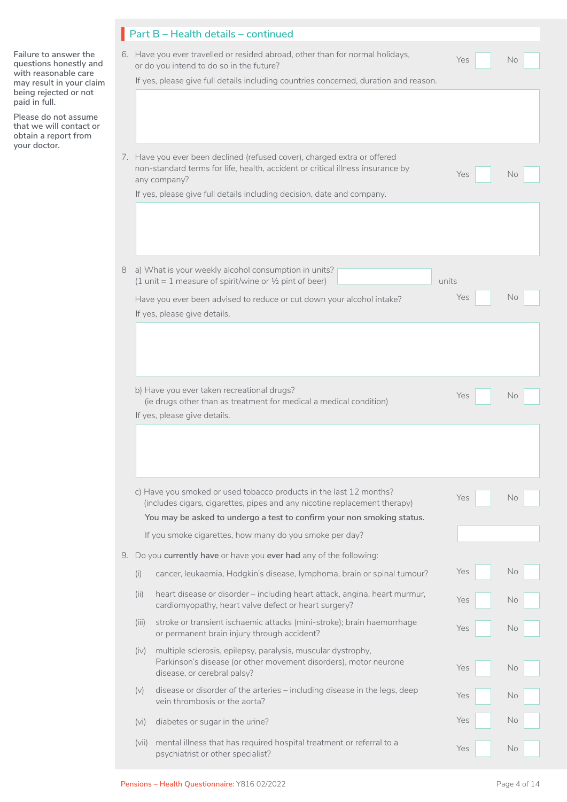|                                                                                                                                                                                                  |             | Part B - Health details - continued                                                                                                                                                                                                                  |              |     |
|--------------------------------------------------------------------------------------------------------------------------------------------------------------------------------------------------|-------------|------------------------------------------------------------------------------------------------------------------------------------------------------------------------------------------------------------------------------------------------------|--------------|-----|
| Failure to answer the<br>questions honestly and<br>with reasonable care<br>may result in your claim<br>being rejected or not<br>paid in full.<br>Please do not assume<br>that we will contact or |             | 6. Have you ever travelled or resided abroad, other than for normal holidays,<br>or do you intend to do so in the future?<br>If yes, please give full details including countries concerned, duration and reason.                                    | Yes          | No  |
| obtain a report from<br>your doctor.                                                                                                                                                             |             | 7. Have you ever been declined (refused cover), charged extra or offered<br>non-standard terms for life, health, accident or critical illness insurance by<br>any company?<br>If yes, please give full details including decision, date and company. | Yes          | No. |
|                                                                                                                                                                                                  | 8           | a) What is your weekly alcohol consumption in units?<br>(1 unit = 1 measure of spirit/wine or $\frac{1}{2}$ pint of beer)<br>Have you ever been advised to reduce or cut down your alcohol intake?<br>If yes, please give details.                   | units<br>Yes | No  |
|                                                                                                                                                                                                  |             | b) Have you ever taken recreational drugs?<br>(ie drugs other than as treatment for medical a medical condition)<br>If yes, please give details.                                                                                                     | Yes          | No. |
|                                                                                                                                                                                                  |             | c) Have you smoked or used tobacco products in the last 12 months?<br>(includes cigars, cigarettes, pipes and any nicotine replacement therapy)<br>You may be asked to undergo a test to confirm your non smoking status.                            | Yes          | No  |
|                                                                                                                                                                                                  |             | If you smoke cigarettes, how many do you smoke per day?                                                                                                                                                                                              |              |     |
|                                                                                                                                                                                                  |             | 9. Do you currently have or have you ever had any of the following:<br>cancer, leukaemia, Hodgkin's disease, lymphoma, brain or spinal tumour?                                                                                                       | Yes          | No  |
|                                                                                                                                                                                                  | (i)<br>(ii) | heart disease or disorder - including heart attack, angina, heart murmur,<br>cardiomyopathy, heart valve defect or heart surgery?                                                                                                                    | Yes          | No  |
|                                                                                                                                                                                                  | (iii)       | stroke or transient ischaemic attacks (mini-stroke); brain haemorrhage<br>or permanent brain injury through accident?                                                                                                                                | Yes          | No  |
|                                                                                                                                                                                                  | (iv)        | multiple sclerosis, epilepsy, paralysis, muscular dystrophy,<br>Parkinson's disease (or other movement disorders), motor neurone<br>disease, or cerebral palsy?                                                                                      | Yes          | No  |
|                                                                                                                                                                                                  | (v)         | disease or disorder of the arteries - including disease in the legs, deep<br>vein thrombosis or the aorta?                                                                                                                                           | Yes          | No  |
|                                                                                                                                                                                                  | (vi)        | diabetes or sugar in the urine?                                                                                                                                                                                                                      | Yes          | No  |
|                                                                                                                                                                                                  | (vii)       | mental illness that has required hospital treatment or referral to a<br>psychiatrist or other specialist?                                                                                                                                            | Yes          | No  |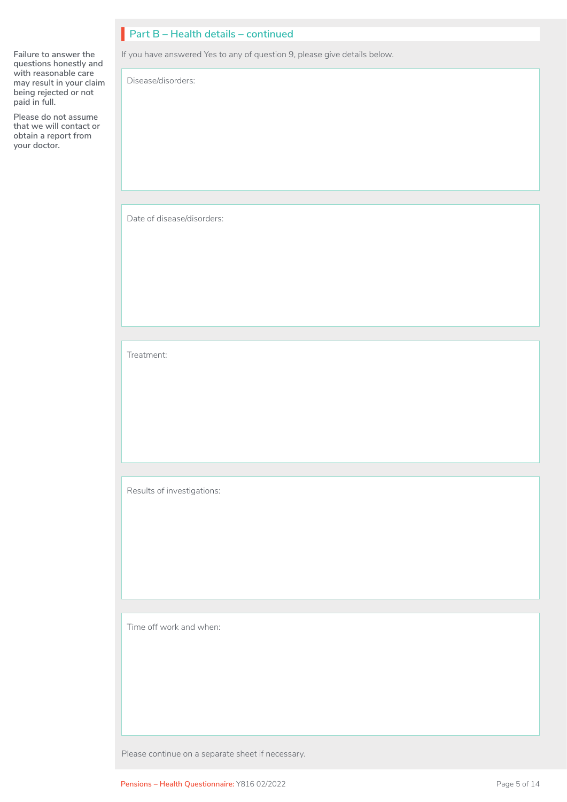# **Part B – Health details – continued** I

If you have answered Yes to any of question 9, please give details below.

Disease/disorders:

**Failure to answer the questions honestly and with reasonable care may result in your claim being rejected or not** 

**Please do not assume that we will contact or obtain a report from your doctor.**

**paid in full.** 

Date of disease/disorders:

Treatment:

Results of investigations:

Time off work and when:

Please continue on a separate sheet if necessary.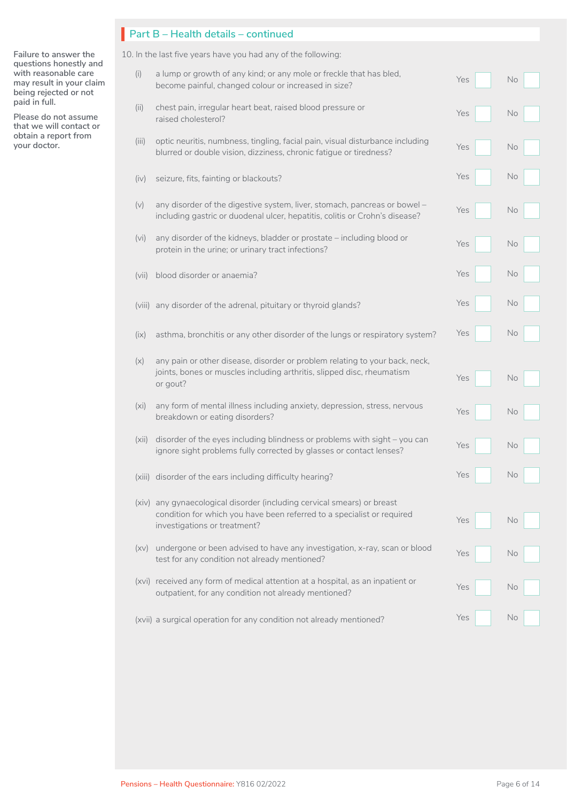|                                                                                                     |       | Part B - Health details - continued                                                                                                                                               |     |    |
|-----------------------------------------------------------------------------------------------------|-------|-----------------------------------------------------------------------------------------------------------------------------------------------------------------------------------|-----|----|
| Failure to answer the                                                                               |       | 10. In the last five years have you had any of the following:                                                                                                                     |     |    |
| questions honestly and<br>with reasonable care<br>may result in your claim<br>being rejected or not | (i)   | a lump or growth of any kind; or any mole or freckle that has bled,<br>become painful, changed colour or increased in size?                                                       | Yes | No |
| paid in full.<br>Please do not assume<br>that we will contact or                                    | (ii)  | chest pain, irregular heart beat, raised blood pressure or<br>raised cholesterol?                                                                                                 | Yes | No |
| obtain a report from<br>your doctor.                                                                | (iii) | optic neuritis, numbness, tingling, facial pain, visual disturbance including<br>blurred or double vision, dizziness, chronic fatigue or tiredness?                               | Yes | No |
|                                                                                                     | (iv)  | seizure, fits, fainting or blackouts?                                                                                                                                             | Yes | No |
|                                                                                                     | (v)   | any disorder of the digestive system, liver, stomach, pancreas or bowel -<br>including gastric or duodenal ulcer, hepatitis, colitis or Crohn's disease?                          | Yes | No |
|                                                                                                     | (vi)  | any disorder of the kidneys, bladder or prostate - including blood or<br>protein in the urine; or urinary tract infections?                                                       | Yes | No |
|                                                                                                     | (vii) | blood disorder or anaemia?                                                                                                                                                        | Yes | No |
|                                                                                                     |       | (viii) any disorder of the adrenal, pituitary or thyroid glands?                                                                                                                  | Yes | No |
|                                                                                                     | (ix)  | asthma, bronchitis or any other disorder of the lungs or respiratory system?                                                                                                      | Yes | No |
|                                                                                                     | (x)   | any pain or other disease, disorder or problem relating to your back, neck,<br>joints, bones or muscles including arthritis, slipped disc, rheumatism<br>or gout?                 | Yes | No |
|                                                                                                     | (xi)  | any form of mental illness including anxiety, depression, stress, nervous<br>breakdown or eating disorders?                                                                       | Yes | No |
|                                                                                                     | (xii) | disorder of the eyes including blindness or problems with sight - you can<br>ignore sight problems fully corrected by glasses or contact lenses?                                  | Yes | No |
|                                                                                                     |       | (xiii) disorder of the ears including difficulty hearing?                                                                                                                         | Yes | No |
|                                                                                                     |       | (xiv) any gynaecological disorder (including cervical smears) or breast<br>condition for which you have been referred to a specialist or required<br>investigations or treatment? | Yes | No |
|                                                                                                     |       | (xv) undergone or been advised to have any investigation, x-ray, scan or blood<br>test for any condition not already mentioned?                                                   | Yes | No |
|                                                                                                     |       | (xvi) received any form of medical attention at a hospital, as an inpatient or<br>outpatient, for any condition not already mentioned?                                            | Yes | No |
|                                                                                                     |       | (xvii) a surgical operation for any condition not already mentioned?                                                                                                              | Yes | No |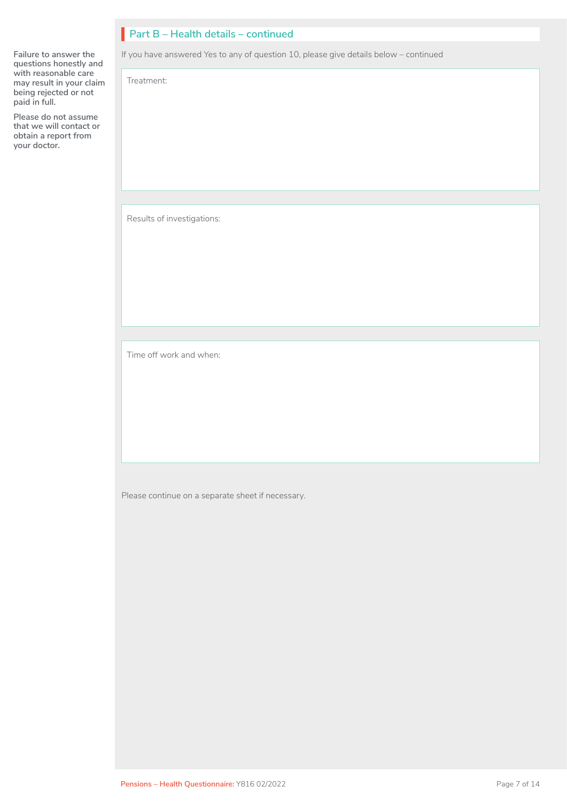# **Part B – Health details – continued** I

If you have answered Yes to any of question 10, please give details below – continued

**Failure to answer the questions honestly and with reasonable care may result in your claim being rejected or not paid in full.** 

**Please do not assume that we will contact or obtain a report from your doctor.**

Results of investigations:

Treatment:

Time off work and when:

Please continue on a separate sheet if necessary.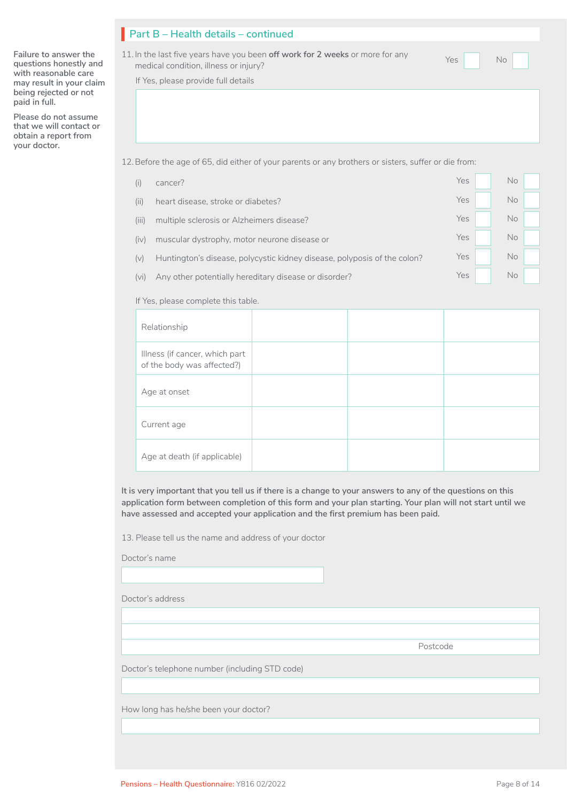**Failure to answer the questions honestly and with reasonable care may result in your claim being rejected or not paid in full.** 

**Please do not assume that we will contact or obtain a report from your doctor.**

# **Part B – Health details – continued** I

11. In the last five years have you been **off work for 2 weeks** or more for any medical condition, illness or injury?

Yes No  $\Box$  No  $\Box$ 

If Yes, please provide full details

12.Before the age of 65, did either of your parents or any brothers or sisters, suffer or die from:

| cancer?                                                                  | Yes | No  |
|--------------------------------------------------------------------------|-----|-----|
| heart disease, stroke or diabetes?                                       | Yes | No  |
| multiple sclerosis or Alzheimers disease?                                | Yes | No. |
| muscular dystrophy, motor neurone disease or                             | Yes | No. |
| Huntington's disease, polycystic kidney disease, polyposis of the colon? | Yes | No. |
| Any other potentially hereditary disease or disorder?                    | Yes | No. |
|                                                                          |     |     |

If Yes, please complete this table.

| Relationship                                                 |  |  |
|--------------------------------------------------------------|--|--|
| Illness (if cancer, which part<br>of the body was affected?) |  |  |
| Age at onset                                                 |  |  |
| Current age                                                  |  |  |
| Age at death (if applicable)                                 |  |  |

**It is very important that you tell us if there is a change to your answers to any of the questions on this application form between completion of this form and your plan starting. Your plan will not start until we have assessed and accepted your application and the first premium has been paid.** 

13. Please tell us the name and address of your doctor

Doctor's name

Doctor's address

Postcode

Doctor's telephone number (including STD code)

How long has he/she been your doctor?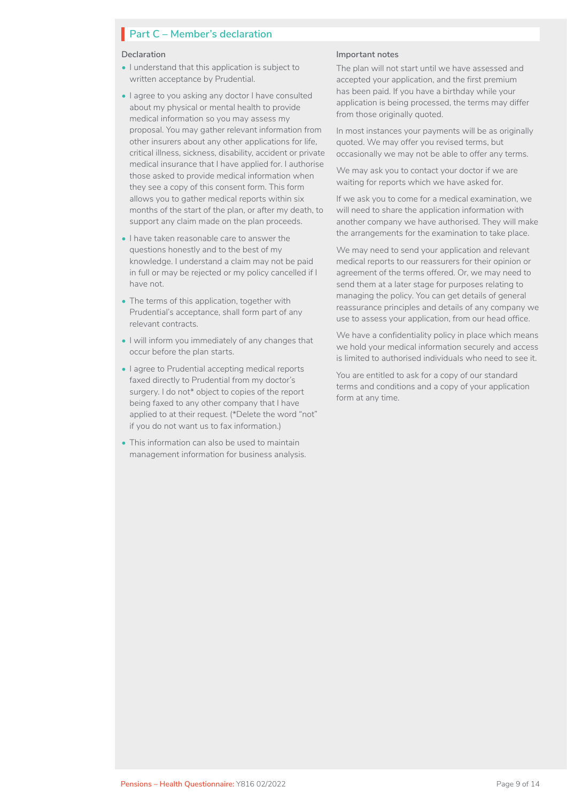# **Part C – Member's declaration**

#### **Declaration**

- I understand that this application is subject to written acceptance by Prudential.
- I agree to you asking any doctor I have consulted about my physical or mental health to provide medical information so you may assess my proposal. You may gather relevant information from other insurers about any other applications for life, critical illness, sickness, disability, accident or private medical insurance that I have applied for. I authorise those asked to provide medical information when they see a copy of this consent form. This form allows you to gather medical reports within six months of the start of the plan, or after my death, to support any claim made on the plan proceeds.
- I have taken reasonable care to answer the questions honestly and to the best of my knowledge. I understand a claim may not be paid in full or may be rejected or my policy cancelled if I have not.
- The terms of this application, together with Prudential's acceptance, shall form part of any relevant contracts.
- I will inform you immediately of any changes that occur before the plan starts.
- I agree to Prudential accepting medical reports faxed directly to Prudential from my doctor's surgery. I do not\* object to copies of the report being faxed to any other company that I have applied to at their request. (\*Delete the word "not" if you do not want us to fax information.)
- This information can also be used to maintain management information for business analysis.

### **Important notes**

The plan will not start until we have assessed and accepted your application, and the first premium has been paid. If you have a birthday while your application is being processed, the terms may differ from those originally quoted.

In most instances your payments will be as originally quoted. We may offer you revised terms, but occasionally we may not be able to offer any terms.

We may ask you to contact your doctor if we are waiting for reports which we have asked for.

If we ask you to come for a medical examination, we will need to share the application information with another company we have authorised. They will make the arrangements for the examination to take place.

We may need to send your application and relevant medical reports to our reassurers for their opinion or agreement of the terms offered. Or, we may need to send them at a later stage for purposes relating to managing the policy. You can get details of general reassurance principles and details of any company we use to assess your application, from our head office.

We have a confidentiality policy in place which means we hold your medical information securely and access is limited to authorised individuals who need to see it.

You are entitled to ask for a copy of our standard terms and conditions and a copy of your application form at any time.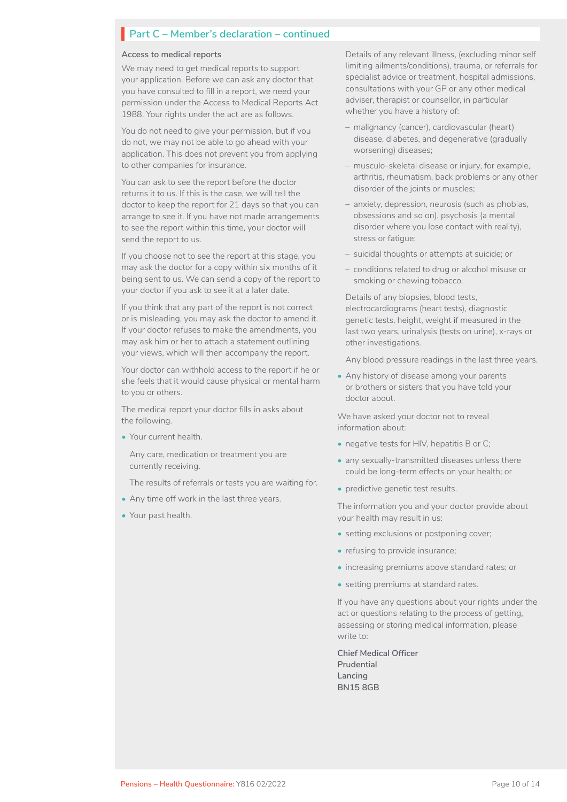#### **Access to medical reports**

We may need to get medical reports to support your application. Before we can ask any doctor that you have consulted to fill in a report, we need your permission under the Access to Medical Reports Act 1988. Your rights under the act are as follows.

You do not need to give your permission, but if you do not, we may not be able to go ahead with your application. This does not prevent you from applying to other companies for insurance.

You can ask to see the report before the doctor returns it to us. If this is the case, we will tell the doctor to keep the report for 21 days so that you can arrange to see it. If you have not made arrangements to see the report within this time, your doctor will send the report to us.

If you choose not to see the report at this stage, you may ask the doctor for a copy within six months of it being sent to us. We can send a copy of the report to your doctor if you ask to see it at a later date.

If you think that any part of the report is not correct or is misleading, you may ask the doctor to amend it. If your doctor refuses to make the amendments, you may ask him or her to attach a statement outlining your views, which will then accompany the report.

Your doctor can withhold access to the report if he or she feels that it would cause physical or mental harm to you or others.

The medical report your doctor fills in asks about the following.

• Your current health.

Any care, medication or treatment you are currently receiving.

The results of referrals or tests you are waiting for.

- Any time off work in the last three years.
- Your past health.

Details of any relevant illness, (excluding minor self limiting ailments/conditions), trauma, or referrals for specialist advice or treatment, hospital admissions, consultations with your GP or any other medical adviser, therapist or counsellor, in particular whether you have a history of:

- malignancy (cancer), cardiovascular (heart) disease, diabetes, and degenerative (gradually worsening) diseases;
- musculo-skeletal disease or injury, for example, arthritis, rheumatism, back problems or any other disorder of the joints or muscles;
- anxiety, depression, neurosis (such as phobias, obsessions and so on), psychosis (a mental disorder where you lose contact with reality), stress or fatigue;
- suicidal thoughts or attempts at suicide; or
- conditions related to drug or alcohol misuse or smoking or chewing tobacco.

Details of any biopsies, blood tests, electrocardiograms (heart tests), diagnostic genetic tests, height, weight if measured in the last two years, urinalysis (tests on urine), x-rays or other investigations.

Any blood pressure readings in the last three years.

• Any history of disease among your parents or brothers or sisters that you have told your doctor about.

We have asked your doctor not to reveal information about:

- negative tests for HIV, hepatitis B or C;
- any sexually-transmitted diseases unless there could be long-term effects on your health; or
- predictive genetic test results.

The information you and your doctor provide about your health may result in us:

- setting exclusions or postponing cover;
- refusing to provide insurance;
- increasing premiums above standard rates; or
- setting premiums at standard rates.

If you have any questions about your rights under the act or questions relating to the process of getting, assessing or storing medical information, please write to:

**Chief Medical Officer Prudential Lancing BN15 8GB**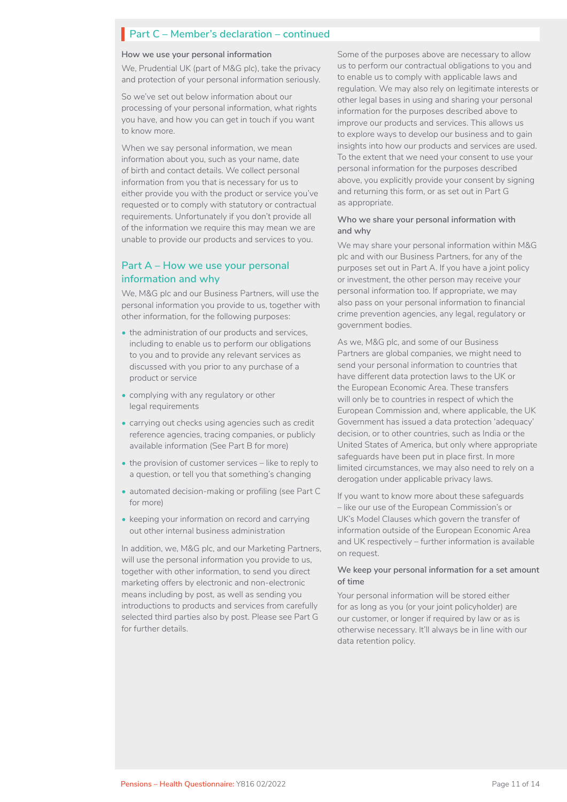#### **How we use your personal information**

We, Prudential UK (part of M&G plc), take the privacy and protection of your personal information seriously.

So we've set out below information about our processing of your personal information, what rights you have, and how you can get in touch if you want to know more.

When we say personal information, we mean information about you, such as your name, date of birth and contact details. We collect personal information from you that is necessary for us to either provide you with the product or service you've requested or to comply with statutory or contractual requirements. Unfortunately if you don't provide all of the information we require this may mean we are unable to provide our products and services to you.

### **Part A – How we use your personal information and why**

We, M&G plc and our Business Partners, will use the personal information you provide to us, together with other information, for the following purposes:

- the administration of our products and services. including to enable us to perform our obligations to you and to provide any relevant services as discussed with you prior to any purchase of a product or service
- complying with any regulatory or other legal requirements
- carrying out checks using agencies such as credit reference agencies, tracing companies, or publicly available information (See Part B for more)
- the provision of customer services like to reply to a question, or tell you that something's changing
- automated decision-making or profiling (see Part C for more)
- keeping your information on record and carrying out other internal business administration

In addition, we, M&G plc, and our Marketing Partners, will use the personal information you provide to us, together with other information, to send you direct marketing offers by electronic and non-electronic means including by post, as well as sending you introductions to products and services from carefully selected third parties also by post. Please see Part G for further details.

Some of the purposes above are necessary to allow us to perform our contractual obligations to you and to enable us to comply with applicable laws and regulation. We may also rely on legitimate interests or other legal bases in using and sharing your personal information for the purposes described above to improve our products and services. This allows us to explore ways to develop our business and to gain insights into how our products and services are used. To the extent that we need your consent to use your personal information for the purposes described above, you explicitly provide your consent by signing and returning this form, or as set out in Part G as appropriate.

#### **Who we share your personal information with and why**

We may share your personal information within M&G plc and with our Business Partners, for any of the purposes set out in Part A. If you have a joint policy or investment, the other person may receive your personal information too. If appropriate, we may also pass on your personal information to financial crime prevention agencies, any legal, regulatory or government bodies.

As we, M&G plc, and some of our Business Partners are global companies, we might need to send your personal information to countries that have different data protection laws to the UK or the European Economic Area. These transfers will only be to countries in respect of which the European Commission and, where applicable, the UK Government has issued a data protection 'adequacy' decision, or to other countries, such as India or the United States of America, but only where appropriate safeguards have been put in place first. In more limited circumstances, we may also need to rely on a derogation under applicable privacy laws.

If you want to know more about these safeguards – like our use of the European Commission's or UK's Model Clauses which govern the transfer of information outside of the European Economic Area and UK respectively – further information is available on request.

#### **We keep your personal information for a set amount of time**

Your personal information will be stored either for as long as you (or your joint policyholder) are our customer, or longer if required by law or as is otherwise necessary. It'll always be in line with our data retention policy.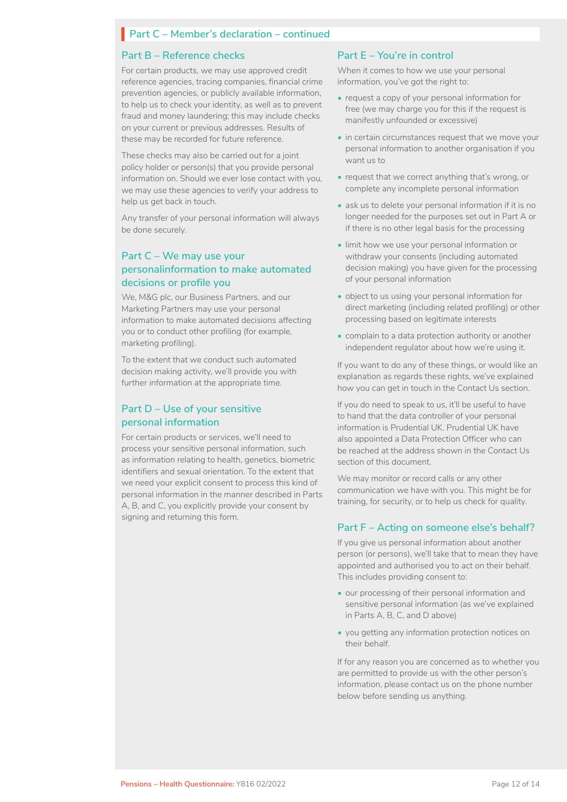### **Part B – Reference checks**

For certain products, we may use approved credit reference agencies, tracing companies, financial crime prevention agencies, or publicly available information, to help us to check your identity, as well as to prevent fraud and money laundering; this may include checks on your current or previous addresses. Results of these may be recorded for future reference.

These checks may also be carried out for a joint policy holder or person(s) that you provide personal information on. Should we ever lose contact with you, we may use these agencies to verify your address to help us get back in touch.

Any transfer of your personal information will always be done securely.

### **Part C – We may use your personalinformation to make automated decisions or profile you**

We, M&G plc, our Business Partners, and our Marketing Partners may use your personal information to make automated decisions affecting you or to conduct other profiling (for example, marketing profiling).

To the extent that we conduct such automated decision making activity, we'll provide you with further information at the appropriate time.

### **Part D – Use of your sensitive personal information**

For certain products or services, we'll need to process your sensitive personal information, such as information relating to health, genetics, biometric identifiers and sexual orientation. To the extent that we need your explicit consent to process this kind of personal information in the manner described in Parts A, B, and C, you explicitly provide your consent by signing and returning this form.

### **Part E – You're in control**

When it comes to how we use your personal information, you've got the right to:

- request a copy of your personal information for free (we may charge you for this if the request is manifestly unfounded or excessive)
- in certain circumstances request that we move your personal information to another organisation if you want us to
- request that we correct anything that's wrong, or complete any incomplete personal information
- ask us to delete your personal information if it is no longer needed for the purposes set out in Part A or if there is no other legal basis for the processing
- limit how we use your personal information or withdraw your consents (including automated decision making) you have given for the processing of your personal information
- object to us using your personal information for direct marketing (including related profiling) or other processing based on legitimate interests
- complain to a data protection authority or another independent regulator about how we're using it.

If you want to do any of these things, or would like an explanation as regards these rights, we've explained how you can get in touch in the Contact Us section.

If you do need to speak to us, it'll be useful to have to hand that the data controller of your personal information is Prudential UK. Prudential UK have also appointed a Data Protection Officer who can be reached at the address shown in the Contact Us section of this document.

We may monitor or record calls or any other communication we have with you. This might be for training, for security, or to help us check for quality.

### **Part F – Acting on someone else's behalf?**

If you give us personal information about another person (or persons), we'll take that to mean they have appointed and authorised you to act on their behalf. This includes providing consent to:

- our processing of their personal information and sensitive personal information (as we've explained in Parts A, B, C, and D above)
- you getting any information protection notices on their behalf.

If for any reason you are concerned as to whether you are permitted to provide us with the other person's information, please contact us on the phone number below before sending us anything.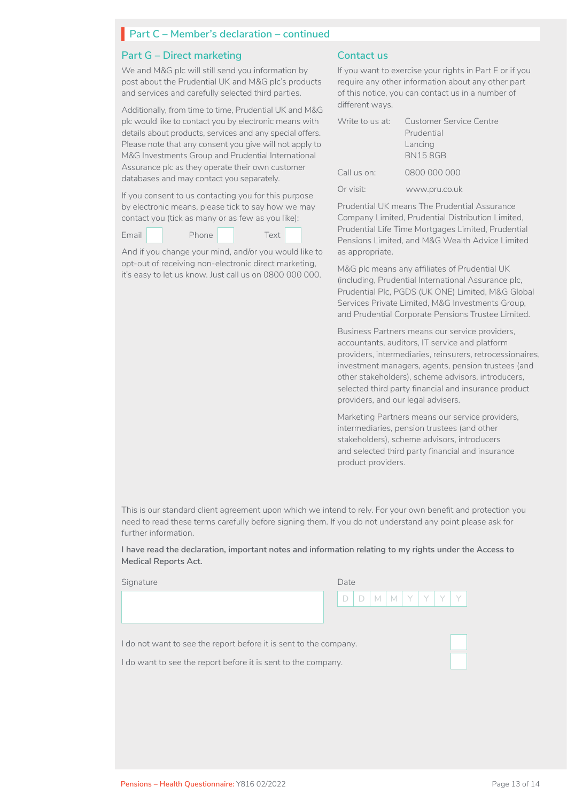#### **Part G – Direct marketing**

We and M&G plc will still send you information by post about the Prudential UK and M&G plc's products and services and carefully selected third parties.

Additionally, from time to time, Prudential UK and M&G plc would like to contact you by electronic means with details about products, services and any special offers. Please note that any consent you give will not apply to M&G Investments Group and Prudential International Assurance plc as they operate their own customer databases and may contact you separately.

If you consent to us contacting you for this purpose by electronic means, please tick to say how we may contact you (tick as many or as few as you like):

| Email | Phone | Text |  |
|-------|-------|------|--|
|       |       |      |  |

And if you change your mind, and/or you would like to opt-out of receiving non-electronic direct marketing, it's easy to let us know. Just call us on 0800 000 000.

### **Contact us**

If you want to exercise your rights in Part E or if you require any other information about any other part of this notice, you can contact us in a number of different ways.

|             | Write to us at: Customer Service Centre |
|-------------|-----------------------------------------|
|             | Prudential                              |
|             | Lancing                                 |
|             | <b>BN158GB</b>                          |
| Call us on: | 0800 000 000                            |
| Or visit:   | www.pru.co.uk                           |

Prudential UK means The Prudential Assurance Company Limited, Prudential Distribution Limited, Prudential Life Time Mortgages Limited, Prudential Pensions Limited, and M&G Wealth Advice Limited as appropriate.

M&G plc means any affiliates of Prudential UK (including, Prudential International Assurance plc, Prudential Plc, PGDS (UK ONE) Limited, M&G Global Services Private Limited, M&G Investments Group, and Prudential Corporate Pensions Trustee Limited.

Business Partners means our service providers, accountants, auditors, IT service and platform providers, intermediaries, reinsurers, retrocessionaires, investment managers, agents, pension trustees (and other stakeholders), scheme advisors, introducers, selected third party financial and insurance product providers, and our legal advisers.

Marketing Partners means our service providers, intermediaries, pension trustees (and other stakeholders), scheme advisors, introducers and selected third party financial and insurance product providers.

This is our standard client agreement upon which we intend to rely. For your own benefit and protection you need to read these terms carefully before signing them. If you do not understand any point please ask for further information.

**I have read the declaration, important notes and information relating to my rights under the Access to Medical Reports Act.**

Signature

| Date                      |  |  |  |  |
|---------------------------|--|--|--|--|
| M<br>Y I<br>Υ,<br>M<br>I) |  |  |  |  |

I do not want to see the report before it is sent to the company.

I do want to see the report before it is sent to the company.